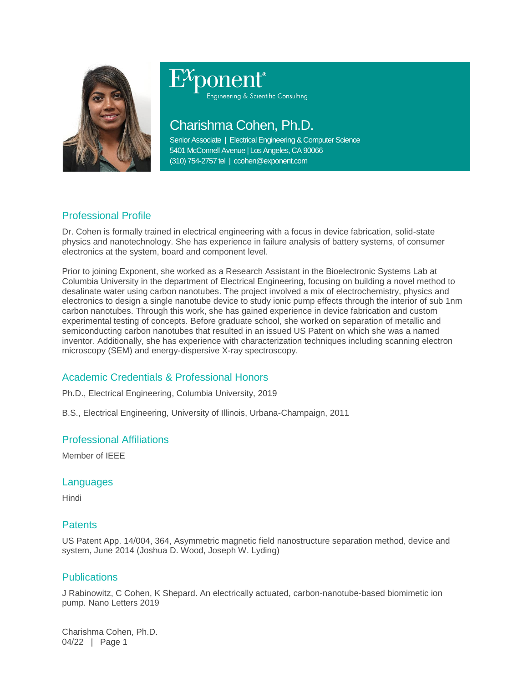

# Engineering & Scientific Consulting

# Charishma Cohen, Ph.D.

Senior Associate | Electrical Engineering & Computer Science 5401 McConnell Avenue | Los Angeles, CA 90066 (310) 754-2757 tel | ccohen@exponent.com

## Professional Profile

Dr. Cohen is formally trained in electrical engineering with a focus in device fabrication, solid-state physics and nanotechnology. She has experience in failure analysis of battery systems, of consumer electronics at the system, board and component level.

Prior to joining Exponent, she worked as a Research Assistant in the Bioelectronic Systems Lab at Columbia University in the department of Electrical Engineering, focusing on building a novel method to desalinate water using carbon nanotubes. The project involved a mix of electrochemistry, physics and electronics to design a single nanotube device to study ionic pump effects through the interior of sub 1nm carbon nanotubes. Through this work, she has gained experience in device fabrication and custom experimental testing of concepts. Before graduate school, she worked on separation of metallic and semiconducting carbon nanotubes that resulted in an issued US Patent on which she was a named inventor. Additionally, she has experience with characterization techniques including scanning electron microscopy (SEM) and energy-dispersive X-ray spectroscopy.

## Academic Credentials & Professional Honors

Ph.D., Electrical Engineering, Columbia University, 2019

B.S., Electrical Engineering, University of Illinois, Urbana-Champaign, 2011

#### Professional Affiliations

Member of IEEE

#### Languages

Hindi

#### **Patents**

US Patent App. 14/004, 364, Asymmetric magnetic field nanostructure separation method, device and system, June 2014 (Joshua D. Wood, Joseph W. Lyding)

#### Publications

J Rabinowitz, C Cohen, K Shepard. An electrically actuated, carbon-nanotube-based biomimetic ion pump. Nano Letters 2019

Charishma Cohen, Ph.D. 04/22 | Page 1